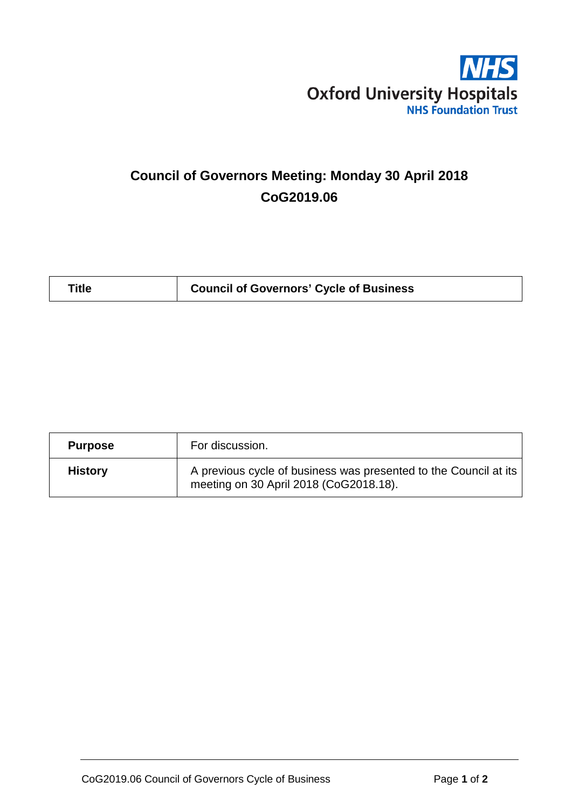

# **Council of Governors Meeting: Monday 30 April 2018 CoG2019.06**

| <b>Purpose</b> | For discussion.                                                                                            |
|----------------|------------------------------------------------------------------------------------------------------------|
| <b>History</b> | A previous cycle of business was presented to the Council at its<br>meeting on 30 April 2018 (CoG2018.18). |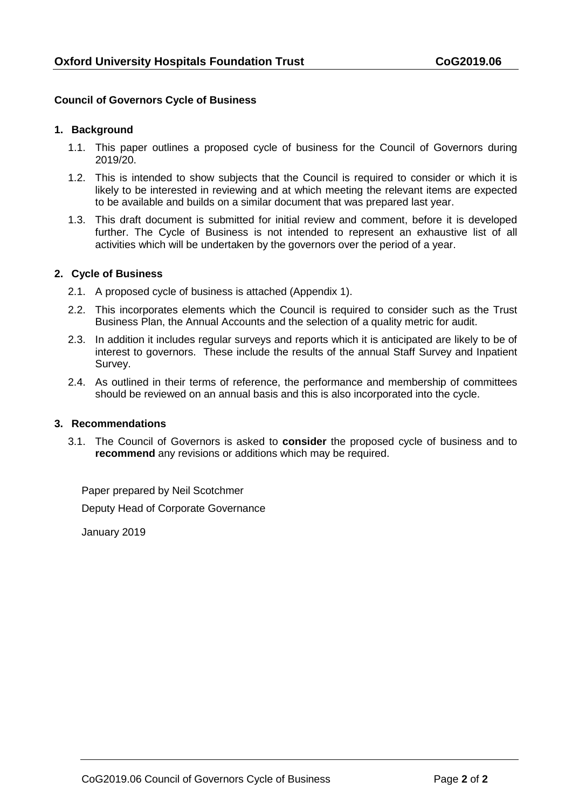## **Council of Governors Cycle of Business**

#### **1. Background**

- 1.1. This paper outlines a proposed cycle of business for the Council of Governors during 2019/20.
- 1.2. This is intended to show subjects that the Council is required to consider or which it is likely to be interested in reviewing and at which meeting the relevant items are expected to be available and builds on a similar document that was prepared last year.
- 1.3. This draft document is submitted for initial review and comment, before it is developed further. The Cycle of Business is not intended to represent an exhaustive list of all activities which will be undertaken by the governors over the period of a year.

### **2. Cycle of Business**

- 2.1. A proposed cycle of business is attached (Appendix 1).
- 2.2. This incorporates elements which the Council is required to consider such as the Trust Business Plan, the Annual Accounts and the selection of a quality metric for audit.
- 2.3. In addition it includes regular surveys and reports which it is anticipated are likely to be of interest to governors. These include the results of the annual Staff Survey and Inpatient Survey.
- 2.4. As outlined in their terms of reference, the performance and membership of committees should be reviewed on an annual basis and this is also incorporated into the cycle.

#### **3. Recommendations**

3.1. The Council of Governors is asked to **consider** the proposed cycle of business and to **recommend** any revisions or additions which may be required.

Paper prepared by Neil Scotchmer Deputy Head of Corporate Governance

January 2019